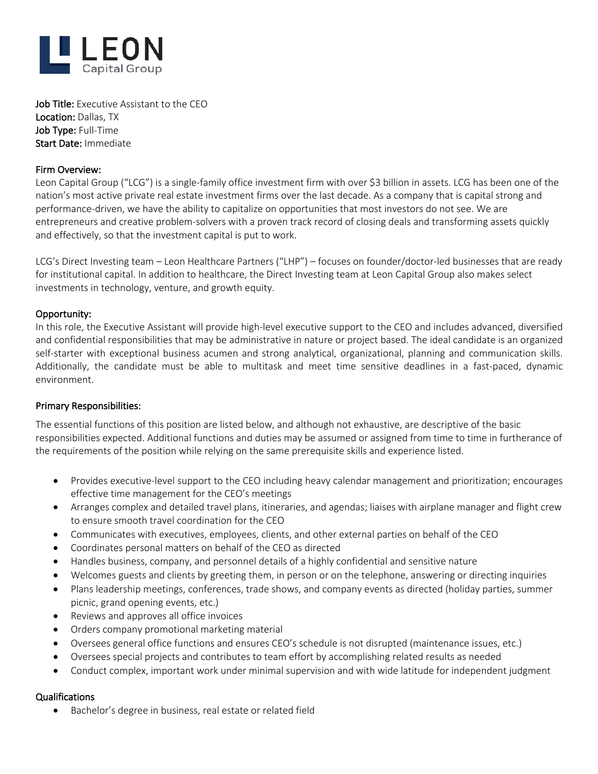

Job Title: Executive Assistant to the CEO Location: Dallas, TX Job Type: Full-Time Start Date: Immediate

## Firm Overview:

Leon Capital Group ("LCG") is a single-family office investment firm with over \$3 billion in assets. LCG has been one of the nation's most active private real estate investment firms over the last decade. As a company that is capital strong and performance-driven, we have the ability to capitalize on opportunities that most investors do not see. We are entrepreneurs and creative problem-solvers with a proven track record of closing deals and transforming assets quickly and effectively, so that the investment capital is put to work.

LCG's Direct Investing team – Leon Healthcare Partners ("LHP") – focuses on founder/doctor-led businesses that are ready for institutional capital. In addition to healthcare, the Direct Investing team at Leon Capital Group also makes select investments in technology, venture, and growth equity.

### Opportunity:

In this role, the Executive Assistant will provide high-level executive support to the CEO and includes advanced, diversified and confidential responsibilities that may be administrative in nature or project based. The ideal candidate is an organized self-starter with exceptional business acumen and strong analytical, organizational, planning and communication skills. Additionally, the candidate must be able to multitask and meet time sensitive deadlines in a fast-paced, dynamic environment.

### Primary Responsibilities:

The essential functions of this position are listed below, and although not exhaustive, are descriptive of the basic responsibilities expected. Additional functions and duties may be assumed or assigned from time to time in furtherance of the requirements of the position while relying on the same prerequisite skills and experience listed.

- Provides executive-level support to the CEO including heavy calendar management and prioritization; encourages effective time management for the CEO's meetings
- Arranges complex and detailed travel plans, itineraries, and agendas; liaises with airplane manager and flight crew to ensure smooth travel coordination for the CEO
- Communicates with executives, employees, clients, and other external parties on behalf of the CEO
- Coordinates personal matters on behalf of the CEO as directed
- Handles business, company, and personnel details of a highly confidential and sensitive nature
- Welcomes guests and clients by greeting them, in person or on the telephone, answering or directing inquiries
- Plans leadership meetings, conferences, trade shows, and company events as directed (holiday parties, summer picnic, grand opening events, etc.)
- Reviews and approves all office invoices
- Orders company promotional marketing material
- Oversees general office functions and ensures CEO's schedule is not disrupted (maintenance issues, etc.)
- Oversees special projects and contributes to team effort by accomplishing related results as needed
- Conduct complex, important work under minimal supervision and with wide latitude for independent judgment

### Qualifications

• Bachelor's degree in business, real estate or related field